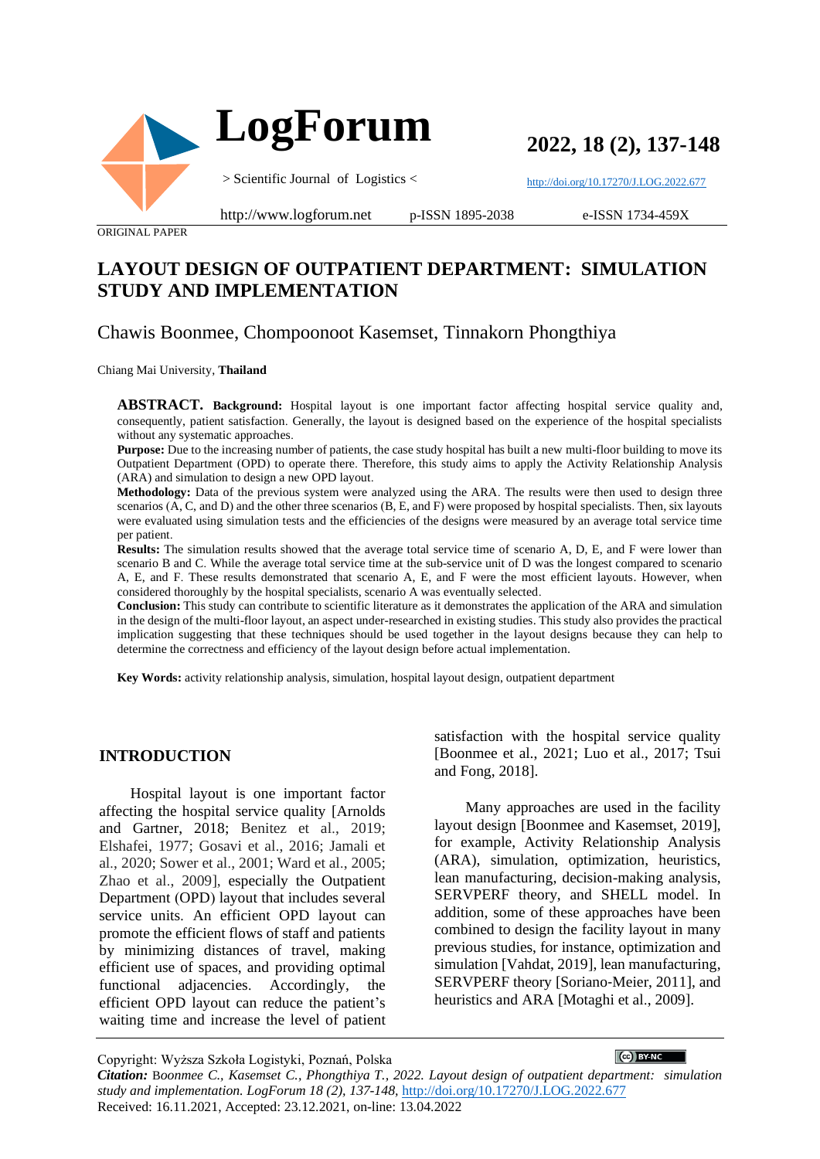

**2022, 18 (2), 137-148**

<http://doi.org/10.17270/J.LOG.2022.677>

ORIGINAL PAPER

#### http://www.logforum.net p-ISSN 1895-2038

e-ISSN 1734-459X

# **LAYOUT DESIGN OF OUTPATIENT DEPARTMENT: SIMULATION STUDY AND IMPLEMENTATION**

# Chawis Boonmee, Chompoonoot Kasemset, Tinnakorn Phongthiya

#### Chiang Mai University, **Thailand**

**ABSTRACT. Background:** Hospital layout is one important factor affecting hospital service quality and, consequently, patient satisfaction. Generally, the layout is designed based on the experience of the hospital specialists without any systematic approaches.

Purpose: Due to the increasing number of patients, the case study hospital has built a new multi-floor building to move its Outpatient Department (OPD) to operate there. Therefore, this study aims to apply the Activity Relationship Analysis (ARA) and simulation to design a new OPD layout.

**Methodology:** Data of the previous system were analyzed using the ARA. The results were then used to design three scenarios (A, C, and D) and the other three scenarios (B, E, and F) were proposed by hospital specialists. Then, six layouts were evaluated using simulation tests and the efficiencies of the designs were measured by an average total service time per patient.

**Results:** The simulation results showed that the average total service time of scenario A, D, E, and F were lower than scenario B and C. While the average total service time at the sub-service unit of D was the longest compared to scenario A, E, and F. These results demonstrated that scenario A, E, and F were the most efficient layouts. However, when considered thoroughly by the hospital specialists, scenario A was eventually selected.

**Conclusion:** This study can contribute to scientific literature as it demonstrates the application of the ARA and simulation in the design of the multi-floor layout, an aspect under-researched in existing studies. This study also provides the practical implication suggesting that these techniques should be used together in the layout designs because they can help to determine the correctness and efficiency of the layout design before actual implementation.

**Key Words:** activity relationship analysis, simulation, hospital layout design, outpatient department

#### **INTRODUCTION**

Hospital layout is one important factor affecting the hospital service quality [Arnolds and Gartner, 2018; Benitez et al., 2019; Elshafei, 1977; Gosavi et al., 2016; Jamali et al., 2020; Sower et al., 2001; Ward et al., 2005; Zhao et al., 2009], especially the Outpatient Department (OPD) layout that includes several service units. An efficient OPD layout can promote the efficient flows of staff and patients by minimizing distances of travel, making efficient use of spaces, and providing optimal functional adjacencies. Accordingly, the efficient OPD layout can reduce the patient's waiting time and increase the level of patient satisfaction with the hospital service quality [Boonmee et al., 2021; Luo et al., 2017; Tsui and Fong, 2018].

Many approaches are used in the facility layout design [Boonmee and Kasemset, 2019], for example, Activity Relationship Analysis (ARA), simulation, optimization, heuristics, lean manufacturing, decision-making analysis, SERVPERF theory, and SHELL model. In addition, some of these approaches have been combined to design the facility layout in many previous studies, for instance, optimization and simulation [Vahdat, 2019], lean manufacturing, SERVPERF theory [Soriano‐Meier, 2011], and heuristics and ARA [Motaghi et al., 2009].

 $\left[\bigodot\right)$  BY-NC  $\qquad$ Copyright: Wyższa Szkoła Logistyki, Poznań, Polska *Citation:* B*oonmee C., Kasemset C., Phongthiya T., 2022. Layout design of outpatient department: simulation study and implementation. LogForum 18 (2), 137-148,* <http://doi.org/10.17270/J.LOG.2022.677> Received: 16.11.2021, Accepted: 23.12.2021, on-line: 13.04.2022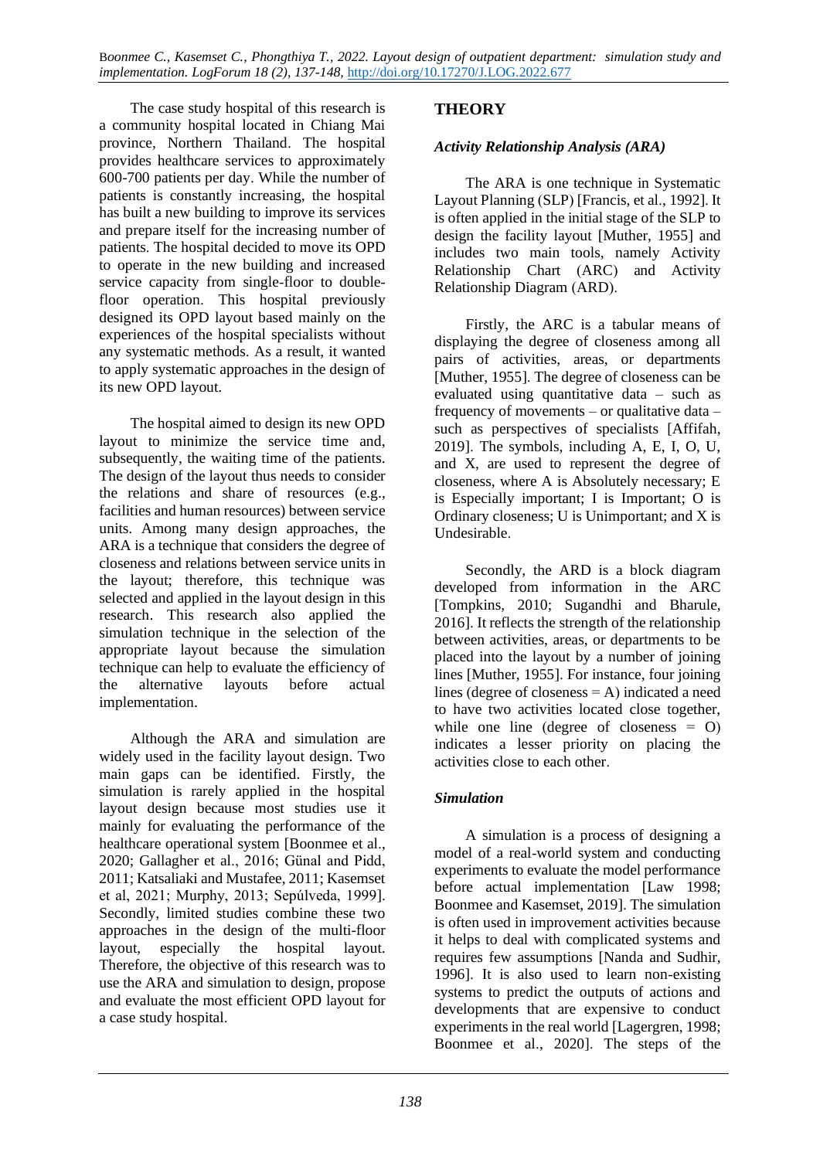The case study hospital of this research is a community hospital located in Chiang Mai province, Northern Thailand. The hospital provides healthcare services to approximately 600-700 patients per day. While the number of patients is constantly increasing, the hospital has built a new building to improve its services and prepare itself for the increasing number of patients. The hospital decided to move its OPD to operate in the new building and increased service capacity from single-floor to doublefloor operation. This hospital previously designed its OPD layout based mainly on the experiences of the hospital specialists without any systematic methods. As a result, it wanted to apply systematic approaches in the design of its new OPD layout.

The hospital aimed to design its new OPD layout to minimize the service time and, subsequently, the waiting time of the patients. The design of the layout thus needs to consider the relations and share of resources (e.g., facilities and human resources) between service units. Among many design approaches, the ARA is a technique that considers the degree of closeness and relations between service units in the layout; therefore, this technique was selected and applied in the layout design in this research. This research also applied the simulation technique in the selection of the appropriate layout because the simulation technique can help to evaluate the efficiency of the alternative layouts before actual implementation.

Although the ARA and simulation are widely used in the facility layout design. Two main gaps can be identified. Firstly, the simulation is rarely applied in the hospital layout design because most studies use it mainly for evaluating the performance of the healthcare operational system [Boonmee et al., 2020; Gallagher et al., 2016; Günal and Pidd, 2011; Katsaliaki and Mustafee, 2011; Kasemset et al, 2021; Murphy, 2013; Sepúlveda, 1999]. Secondly, limited studies combine these two approaches in the design of the multi-floor layout, especially the hospital layout. Therefore, the objective of this research was to use the ARA and simulation to design, propose and evaluate the most efficient OPD layout for a case study hospital.

# **THEORY**

### *Activity Relationship Analysis (ARA)*

The ARA is one technique in Systematic Layout Planning (SLP) [Francis, et al., 1992]. It is often applied in the initial stage of the SLP to design the facility layout [Muther, 1955] and includes two main tools, namely Activity Relationship Chart (ARC) and Activity Relationship Diagram (ARD).

Firstly, the ARC is a tabular means of displaying the degree of closeness among all pairs of activities, areas, or departments [Muther, 1955]. The degree of closeness can be evaluated using quantitative data – such as frequency of movements – or qualitative data – such as perspectives of specialists [Affifah, 2019]. The symbols, including A, E, I, O, U, and X, are used to represent the degree of closeness, where A is Absolutely necessary; E is Especially important; I is Important; O is Ordinary closeness; U is Unimportant; and X is Undesirable.

Secondly, the ARD is a block diagram developed from information in the ARC [Tompkins, 2010; Sugandhi and Bharule, 2016]. It reflects the strength of the relationship between activities, areas, or departments to be placed into the layout by a number of joining lines [Muther, 1955]. For instance, four joining lines (degree of closeness  $= A$ ) indicated a need to have two activities located close together, while one line (degree of closeness = O) indicates a lesser priority on placing the activities close to each other.

#### *Simulation*

A simulation is a process of designing a model of a real-world system and conducting experiments to evaluate the model performance before actual implementation [Law 1998; Boonmee and Kasemset, 2019]. The simulation is often used in improvement activities because it helps to deal with complicated systems and requires few assumptions [Nanda and Sudhir, 1996]. It is also used to learn non-existing systems to predict the outputs of actions and developments that are expensive to conduct experiments in the real world [Lagergren, 1998; Boonmee et al., 2020]. The steps of the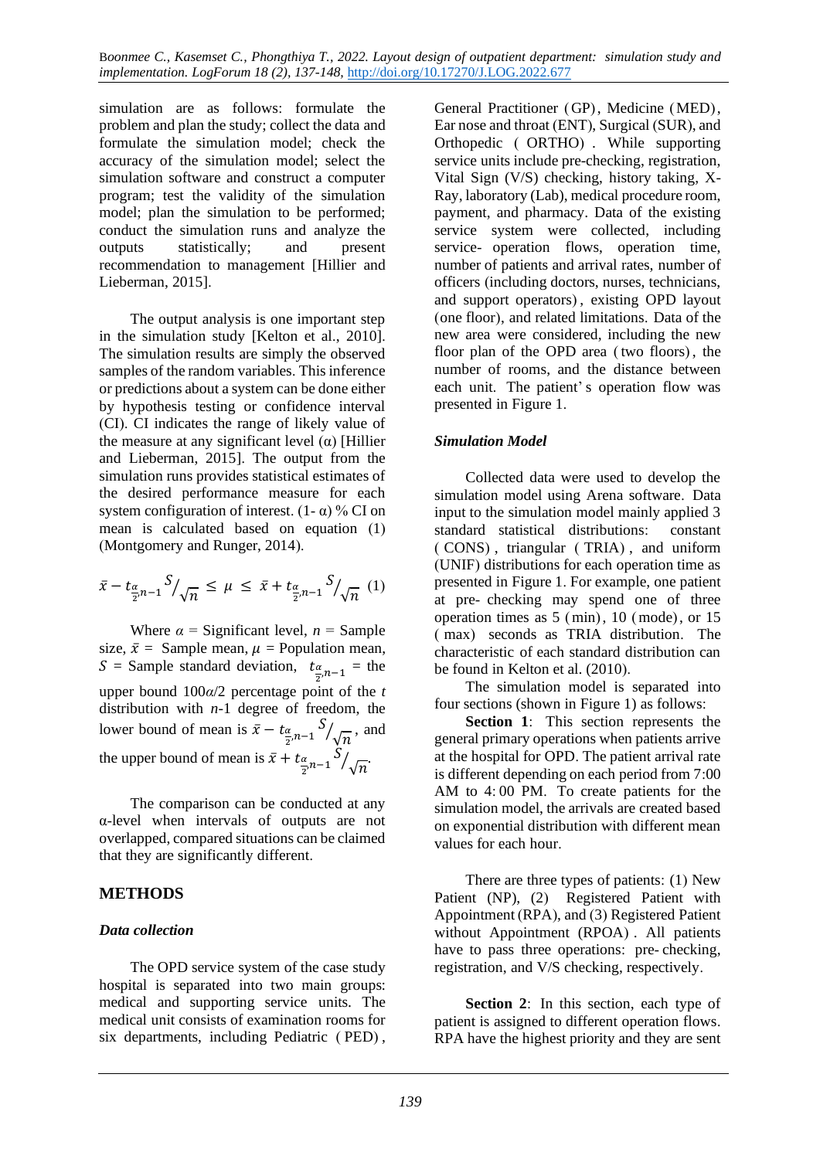simulation are as follows: formulate the problem and plan the study; collect the data and formulate the simulation model; check the accuracy of the simulation model; select the simulation software and construct a computer program; test the validity of the simulation model; plan the simulation to be performed; conduct the simulation runs and analyze the outputs statistically; and present recommendation to management [Hillier and Lieberman, 2015].

The output analysis is one important step in the simulation study [Kelton et al., 2010]. The simulation results are simply the observed samples of the random variables. This inference or predictions about a system can be done either by hypothesis testing or confidence interval (CI). CI indicates the range of likely value of the measure at any significant level (α) [Hillier and Lieberman, 2015]. The output from the simulation runs provides statistical estimates of the desired performance measure for each system configuration of interest.  $(1 - \alpha)$  % CI on mean is calculated based on equation (1) (Montgomery and Runger, 2014).

$$
\bar{x} - t_{\frac{\alpha}{2}, n-1} S_{/\sqrt{n}} \le \mu \le \bar{x} + t_{\frac{\alpha}{2}, n-1} S_{/\sqrt{n}} \quad (1)
$$

Where  $\alpha$  = Significant level,  $n =$  Sample size,  $\bar{x}$  = Sample mean,  $\mu$  = Population mean, S = Sample standard deviation,  $t_{\frac{\alpha}{2},n-1}$  = the upper bound 100*α*/2 percentage point of the *t* distribution with *n*-1 degree of freedom, the lower bound of mean is  $\bar{x} - t_{\frac{\alpha}{2}, n-1} S$  $\sqrt{n}$ , and the upper bound of mean is  $\bar{x} + t_{\frac{\alpha}{2}, n-1} S$  $\sqrt{n}$ 

The comparison can be conducted at any α-level when intervals of outputs are not overlapped, compared situations can be claimed that they are significantly different.

#### **METHODS**

#### *Data collection*

The OPD service system of the case study hospital is separated into two main groups: medical and supporting service units. The medical unit consists of examination rooms for six departments, including Pediatric ( PED) ,

General Practitioner (GP), Medicine (MED), Ear nose and throat (ENT), Surgical (SUR), and Orthopedic ( ORTHO) . While supporting service units include pre-checking, registration, Vital Sign (V/S) checking, history taking, X-Ray, laboratory (Lab), medical procedure room, payment, and pharmacy. Data of the existing service system were collected, including service- operation flows, operation time, number of patients and arrival rates, number of officers (including doctors, nurses, technicians, and support operators) , existing OPD layout (one floor), and related limitations. Data of the new area were considered, including the new floor plan of the OPD area (two floors), the number of rooms, and the distance between each unit. The patient' s operation flow was presented in Figure 1.

#### *Simulation Model*

Collected data were used to develop the simulation model using Arena software. Data input to the simulation model mainly applied 3 standard statistical distributions: constant ( CONS) , triangular ( TRIA) , and uniform (UNIF) distributions for each operation time as presented in Figure 1. For example, one patient at pre- checking may spend one of three operation times as 5 (min), 10 (mode), or 15 ( max) seconds as TRIA distribution. The characteristic of each standard distribution can be found in Kelton et al. (2010).

The simulation model is separated into four sections (shown in Figure 1) as follows:

**Section 1**: This section represents the general primary operations when patients arrive at the hospital for OPD. The patient arrival rate is different depending on each period from 7:00 AM to 4: 00 PM. To create patients for the simulation model, the arrivals are created based on exponential distribution with different mean values for each hour.

There are three types of patients: (1) New Patient (NP), (2) Registered Patient with Appointment (RPA), and (3) Registered Patient without Appointment (RPOA) . All patients have to pass three operations: pre- checking, registration, and V/S checking, respectively.

**Section 2**: In this section, each type of patient is assigned to different operation flows. RPA have the highest priority and they are sent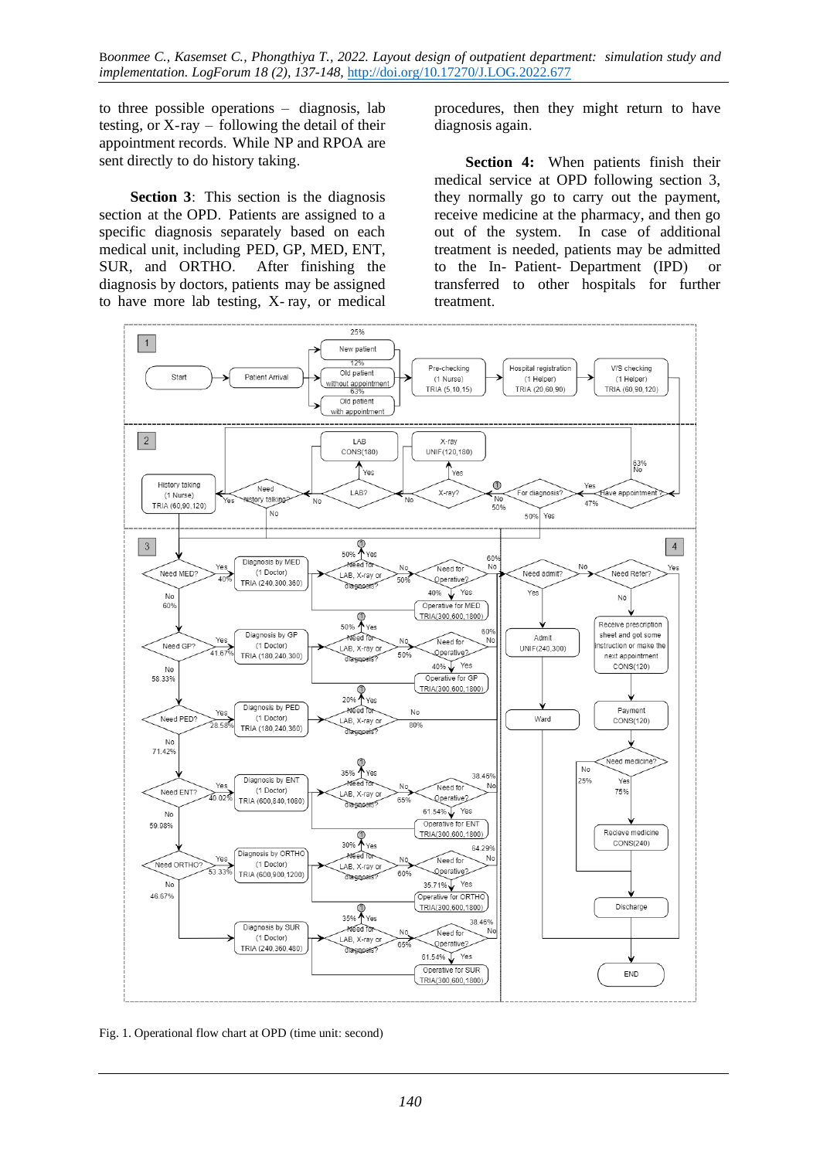to three possible operations – diagnosis, lab testing, or X-ray – following the detail of their appointment records. While NP and RPOA are sent directly to do history taking.

**Section 3**: This section is the diagnosis section at the OPD. Patients are assigned to a specific diagnosis separately based on each medical unit, including PED, GP, MED, ENT, SUR, and ORTHO. After finishing the diagnosis by doctors, patients may be assigned to have more lab testing, X- ray, or medical procedures, then they might return to have diagnosis again.

**Section 4:** When patients finish their medical service at OPD following section 3, they normally go to carry out the payment, receive medicine at the pharmacy, and then go out of the system. In case of additional treatment is needed, patients may be admitted to the In- Patient- Department (IPD) or transferred to other hospitals for further treatment.



Fig. 1. Operational flow chart at OPD (time unit: second)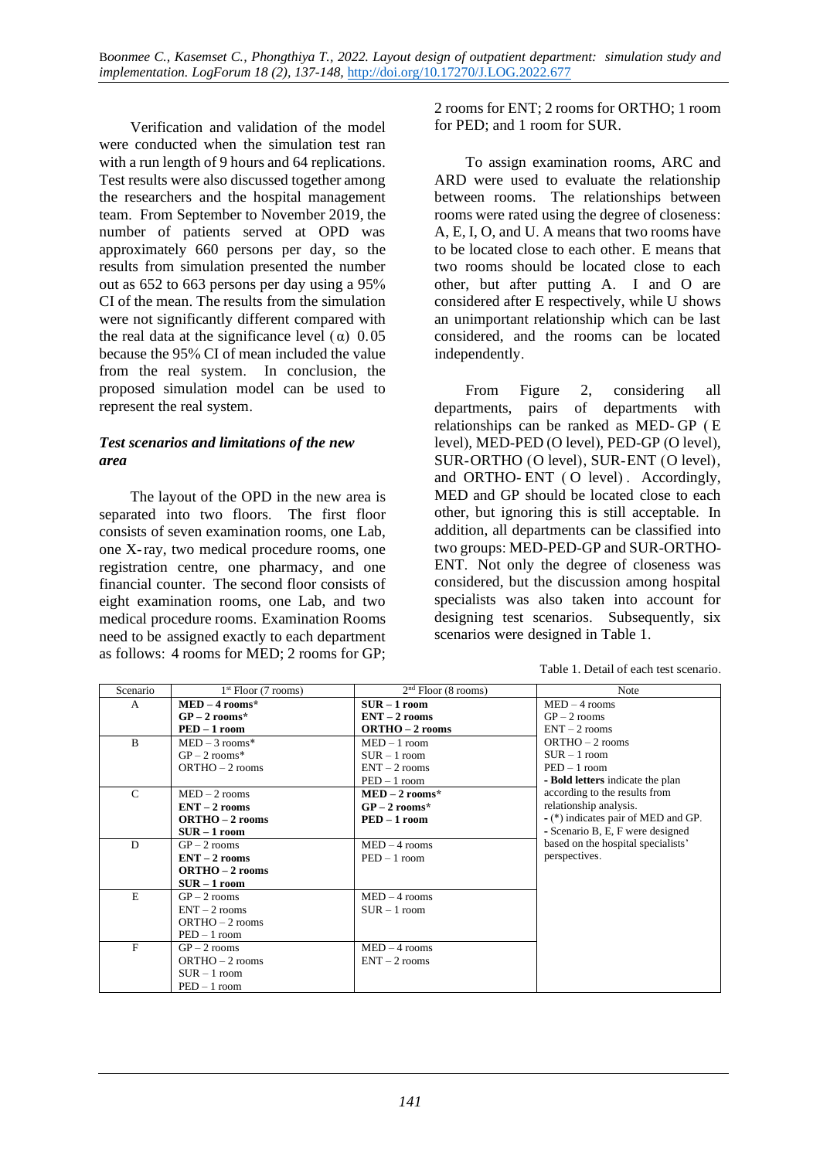Verification and validation of the model were conducted when the simulation test ran with a run length of 9 hours and 64 replications. Test results were also discussed together among the researchers and the hospital management team. From September to November 2019, the number of patients served at OPD was approximately 660 persons per day, so the results from simulation presented the number out as 652 to 663 persons per day using a 95% CI of the mean. The results from the simulation were not significantly different compared with the real data at the significance level  $(\alpha)$  0.05 because the 95% CI of mean included the value from the real system. In conclusion, the proposed simulation model can be used to represent the real system.

#### *Test scenarios and limitations of the new area*

The layout of the OPD in the new area is separated into two floors. The first floor consists of seven examination rooms, one Lab, one X-ray, two medical procedure rooms, one registration centre, one pharmacy, and one financial counter. The second floor consists of eight examination rooms, one Lab, and two medical procedure rooms. Examination Rooms need to be assigned exactly to each department as follows: 4 rooms for MED; 2 rooms for GP; 2 rooms for ENT; 2 rooms for ORTHO; 1 room for PED; and 1 room for SUR.

To assign examination rooms, ARC and ARD were used to evaluate the relationship between rooms. The relationships between rooms were rated using the degree of closeness: A, E, I, O, and U. A means that two rooms have to be located close to each other. E means that two rooms should be located close to each other, but after putting A. I and O are considered after E respectively, while U shows an unimportant relationship which can be last considered, and the rooms can be located independently.

From Figure 2, considering all departments, pairs of departments with relationships can be ranked as MED- GP ( E level), MED-PED (O level), PED-GP (O level), SUR-ORTHO (O level), SUR-ENT (O level), and ORTHO- ENT ( O level) . Accordingly, MED and GP should be located close to each other, but ignoring this is still acceptable. In addition, all departments can be classified into two groups: MED-PED-GP and SUR-ORTHO-ENT. Not only the degree of closeness was considered, but the discussion among hospital specialists was also taken into account for designing test scenarios. Subsequently, six scenarios were designed in Table 1.

| Table 1. Detail of each test scenario. |  |
|----------------------------------------|--|
|----------------------------------------|--|

| Scenario      | $1st$ Floor (7 rooms)   | $2nd$ Floor (8 rooms)   | <b>Note</b>                         |
|---------------|-------------------------|-------------------------|-------------------------------------|
| $\mathsf{A}$  | $MED-4$ rooms*          | $SUR - 1$ room          | $MED - 4$ rooms                     |
|               | $GP-2$ rooms*           | $ENT-2$ rooms           | $GP-2$ rooms                        |
|               | $\mathbf{PED} - 1$ room | <b>ORTHO</b> - 2 rooms  | $ENT-2$ rooms                       |
| $\mathbf{B}$  | $MED-3$ rooms*          | $MED-1$ room            | $ORTHO - 2$ rooms                   |
|               | $GP-2$ rooms*           | $SUR - 1$ room          | $SUR - 1$ room                      |
|               | $ORTHO - 2$ rooms       | $ENT-2$ rooms           | $PED - 1$ room                      |
|               |                         | $PED - 1$ room          | - Bold letters indicate the plan    |
| $\mathcal{C}$ | $MED - 2 rooms$         | $MED - 2 rooms*$        | according to the results from       |
|               | $ENT-2$ rooms           | $GP-2$ rooms*           | relationship analysis.              |
|               | $ORTHO - 2$ rooms       | $\mathbf{PED} - 1$ room | - (*) indicates pair of MED and GP. |
|               | $SUR - 1$ room          |                         | - Scenario B, E, F were designed    |
| D             | $GP-2$ rooms            | $MED-4$ rooms           | based on the hospital specialists'  |
|               | $ENT-2$ rooms           | $PED - 1$ room          | perspectives.                       |
|               | $ORTHO - 2$ rooms       |                         |                                     |
|               | $SUR - 1$ room          |                         |                                     |
| E             | $GP-2$ rooms            | $MED-4$ rooms           |                                     |
|               | $ENT-2$ rooms           | $SUR - 1$ room          |                                     |
|               | $ORTHO - 2$ rooms       |                         |                                     |
|               | $PED - 1$ room          |                         |                                     |
| F             | $GP-2$ rooms            | $MED-4$ rooms           |                                     |
|               | $ORTHO - 2$ rooms       | $ENT-2$ rooms           |                                     |
|               | $SUR - 1$ room          |                         |                                     |
|               | $PED - 1$ room          |                         |                                     |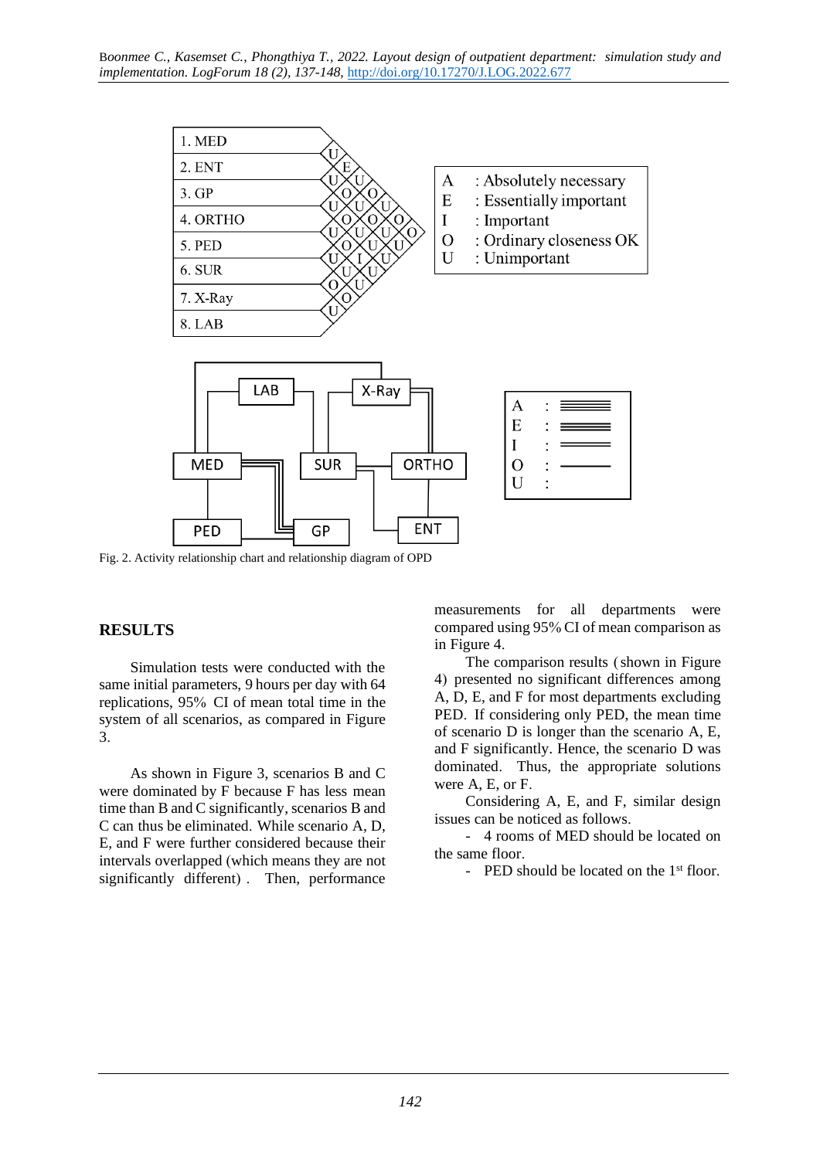

Fig. 2. Activity relationship chart and relationship diagram of OPD

#### **RESULTS**

Simulation tests were conducted with the same initial parameters, 9 hours per day with 64 replications, 95% CI of mean total time in the system of all scenarios, as compared in Figure 3.

As shown in Figure 3, scenarios B and C were dominated by F because F has less mean time than B and C significantly, scenarios B and C can thus be eliminated. While scenario A, D, E, and F were further considered because their intervals overlapped (which means they are not significantly different) . Then, performance

measurements for all departments were compared using 95% CI of mean comparison as in Figure 4.

The comparison results (shown in Figure 4) presented no significant differences among A, D, E, and F for most departments excluding PED. If considering only PED, the mean time of scenario D is longer than the scenario A, E, and F significantly. Hence, the scenario D was dominated. Thus, the appropriate solutions were A, E, or F.

Considering A, E, and F, similar design issues can be noticed as follows.

- 4 rooms of MED should be located on the same floor.

- PED should be located on the 1<sup>st</sup> floor.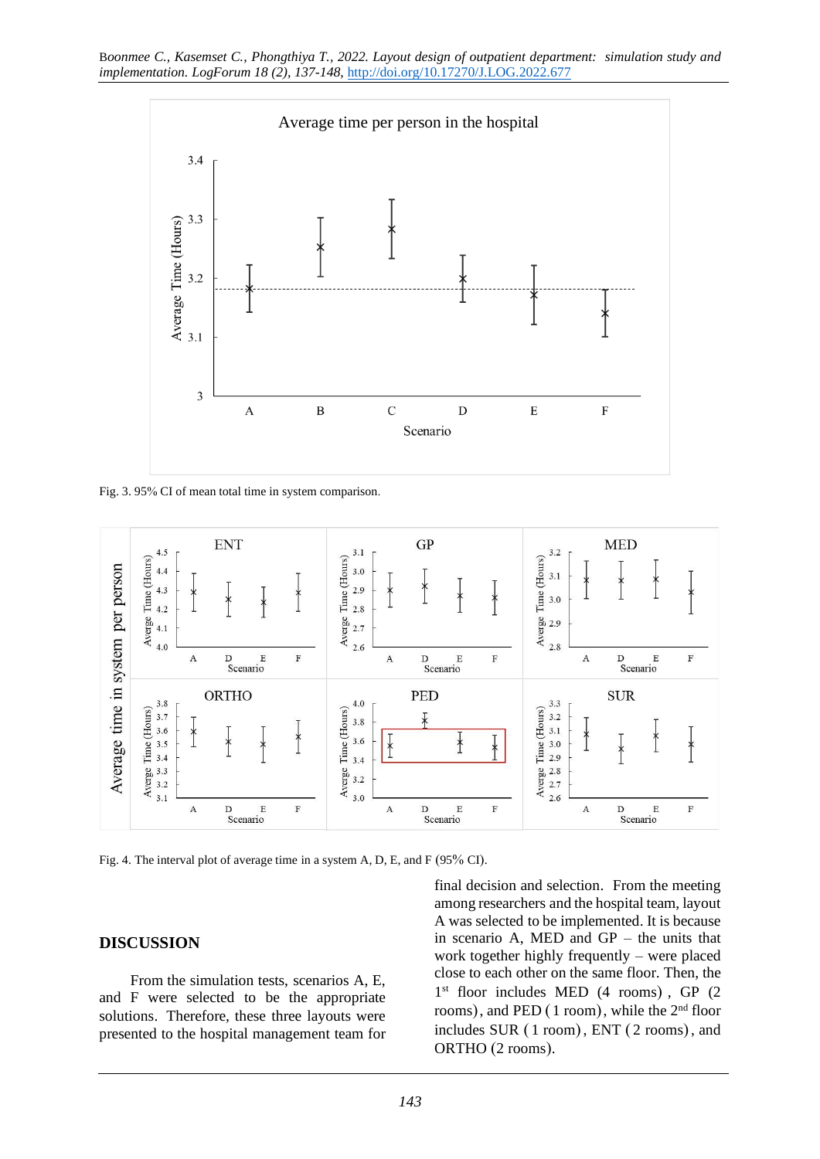

Fig. 3. 95% CI of mean total time in system comparison.



Fig. 4. The interval plot of average time in a system A, D, E, and F (95% CI).

#### **DISCUSSION**

From the simulation tests, scenarios A, E, and F were selected to be the appropriate solutions. Therefore, these three layouts were presented to the hospital management team for

final decision and selection. From the meeting among researchers and the hospital team, layout A was selected to be implemented. It is because in scenario A, MED and GP – the units that work together highly frequently – were placed close to each other on the same floor. Then, the 1 st floor includes MED (4 rooms) , GP (2 rooms), and PED (1 room), while the 2<sup>nd</sup> floor includes SUR ( 1 room), ENT ( 2 rooms), and ORTHO (2 rooms).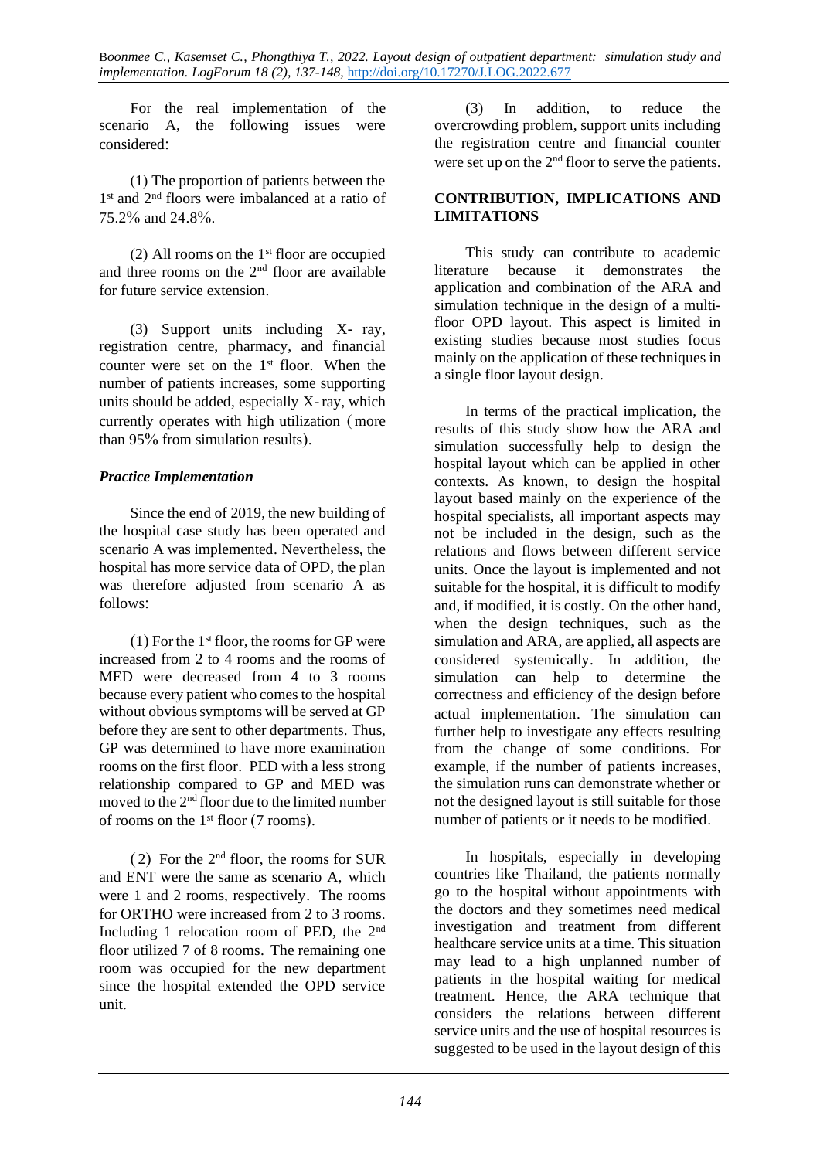For the real implementation of the scenario A, the following issues were considered:

(1) The proportion of patients between the 1<sup>st</sup> and 2<sup>nd</sup> floors were imbalanced at a ratio of 75.2% and 24.8%.

(2) All rooms on the  $1<sup>st</sup>$  floor are occupied and three rooms on the 2nd floor are available for future service extension.

(3) Support units including X- ray, registration centre, pharmacy, and financial counter were set on the  $1<sup>st</sup>$  floor. When the number of patients increases, some supporting units should be added, especially X-ray, which currently operates with high utilization (more than 95% from simulation results).

#### *Practice Implementation*

Since the end of 2019, the new building of the hospital case study has been operated and scenario A was implemented. Nevertheless, the hospital has more service data of OPD, the plan was therefore adjusted from scenario A as follows:

 $(1)$  For the 1<sup>st</sup> floor, the rooms for GP were increased from 2 to 4 rooms and the rooms of MED were decreased from 4 to 3 rooms because every patient who comes to the hospital without obvious symptoms will be served at GP before they are sent to other departments. Thus, GP was determined to have more examination rooms on the first floor. PED with a less strong relationship compared to GP and MED was moved to the 2nd floor due to the limited number of rooms on the 1st floor (7 rooms).

( 2) For the 2nd floor, the rooms for SUR and ENT were the same as scenario A, which were 1 and 2 rooms, respectively. The rooms for ORTHO were increased from 2 to 3 rooms. Including 1 relocation room of PED, the 2nd floor utilized 7 of 8 rooms. The remaining one room was occupied for the new department since the hospital extended the OPD service unit.

(3) In addition, to reduce the overcrowding problem, support units including the registration centre and financial counter were set up on the  $2<sup>nd</sup>$  floor to serve the patients.

#### **CONTRIBUTION, IMPLICATIONS AND LIMITATIONS**

This study can contribute to academic literature because it demonstrates the application and combination of the ARA and simulation technique in the design of a multifloor OPD layout. This aspect is limited in existing studies because most studies focus mainly on the application of these techniques in a single floor layout design.

In terms of the practical implication, the results of this study show how the ARA and simulation successfully help to design the hospital layout which can be applied in other contexts. As known, to design the hospital layout based mainly on the experience of the hospital specialists, all important aspects may not be included in the design, such as the relations and flows between different service units. Once the layout is implemented and not suitable for the hospital, it is difficult to modify and, if modified, it is costly. On the other hand, when the design techniques, such as the simulation and ARA, are applied, all aspects are considered systemically. In addition, the simulation can help to determine the correctness and efficiency of the design before actual implementation. The simulation can further help to investigate any effects resulting from the change of some conditions. For example, if the number of patients increases, the simulation runs can demonstrate whether or not the designed layout is still suitable for those number of patients or it needs to be modified.

In hospitals, especially in developing countries like Thailand, the patients normally go to the hospital without appointments with the doctors and they sometimes need medical investigation and treatment from different healthcare service units at a time. This situation may lead to a high unplanned number of patients in the hospital waiting for medical treatment. Hence, the ARA technique that considers the relations between different service units and the use of hospital resources is suggested to be used in the layout design of this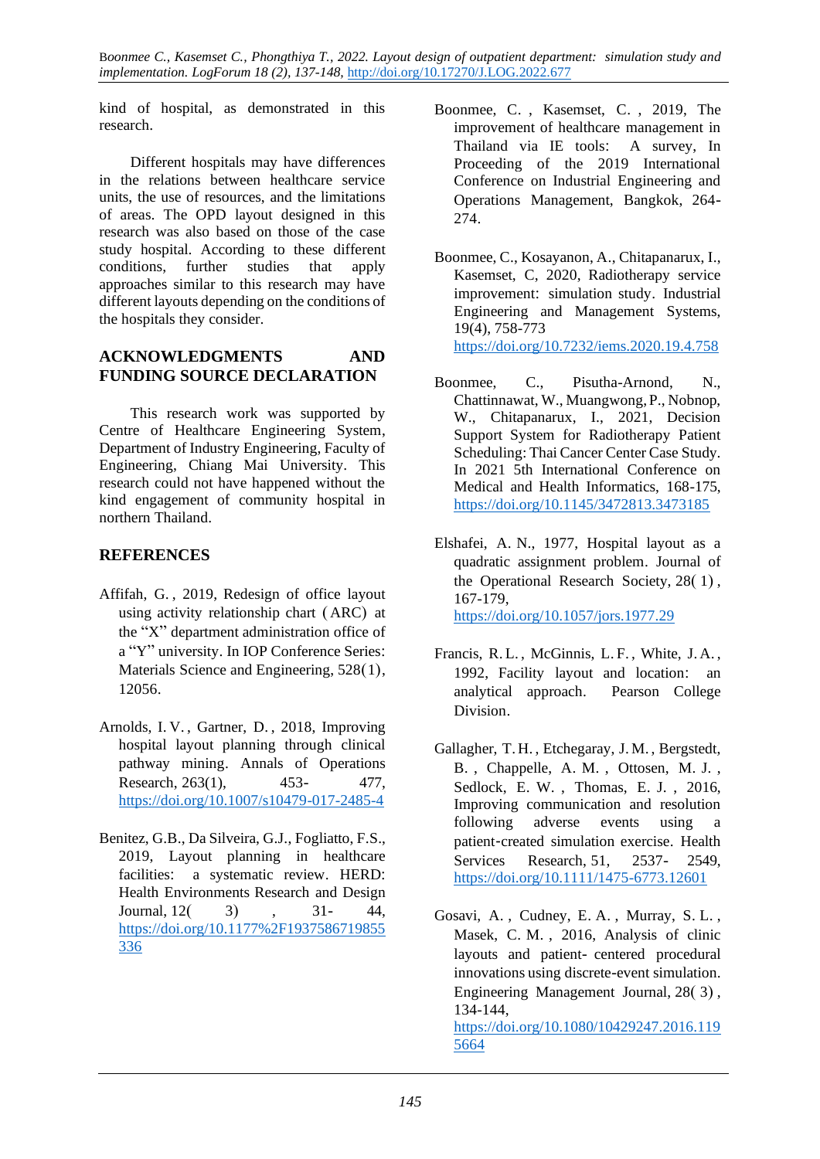kind of hospital, as demonstrated in this research.

Different hospitals may have differences in the relations between healthcare service units, the use of resources, and the limitations of areas. The OPD layout designed in this research was also based on those of the case study hospital. According to these different conditions, further studies that apply approaches similar to this research may have different layouts depending on the conditions of the hospitals they consider.

### **ACKNOWLEDGMENTS AND FUNDING SOURCE DECLARATION**

This research work was supported by Centre of Healthcare Engineering System, Department of Industry Engineering, Faculty of Engineering, Chiang Mai University. This research could not have happened without the kind engagement of community hospital in northern Thailand.

# **REFERENCES**

- Affifah, G. , 2019, Redesign of office layout using activity relationship chart ( ARC) at the "X" department administration office of a "Y" university. In IOP Conference Series: Materials Science and Engineering, 528(1), 12056.
- Arnolds, I. V. , Gartner, D. , 2018, Improving hospital layout planning through clinical pathway mining. Annals of Operations Research, 263(1), 453- 477, <https://doi.org/10.1007/s10479-017-2485-4>
- Benitez, G.B., Da Silveira, G.J., Fogliatto, F.S., 2019, Layout planning in healthcare facilities: a systematic review. HERD: Health Environments Research and Design Journal, 12( 3) , 31- 44, [https://doi.org/10.1177%2F1937586719855](https://doi.org/10.1177%2F1937586719855336) [336](https://doi.org/10.1177%2F1937586719855336)
- Boonmee, C. , Kasemset, C. , 2019, The improvement of healthcare management in Thailand via IE tools: A survey, In Proceeding of the 2019 International Conference on Industrial Engineering and Operations Management, Bangkok, 264- 274.
- Boonmee, C., Kosayanon, A., Chitapanarux, I., Kasemset, C, 2020, Radiotherapy service improvement: simulation study. Industrial Engineering and Management Systems, 19(4), 758-773 <https://doi.org/10.7232/iems.2020.19.4.758>
- Boonmee, C., Pisutha-Arnond, N., Chattinnawat, W., Muangwong, P., Nobnop, W., Chitapanarux, I., 2021, Decision Support System for Radiotherapy Patient Scheduling: Thai Cancer Center Case Study. In 2021 5th International Conference on Medical and Health Informatics, 168-175, <https://doi.org/10.1145/3472813.3473185>
- Elshafei, A. N., 1977, Hospital layout as a quadratic assignment problem. Journal of the Operational Research Society, 28( 1) , 167-179, <https://doi.org/10.1057/jors.1977.29>
- Francis, R.L. , McGinnis, L. F. , White, J. A. , 1992, Facility layout and location: an analytical approach. Pearson College Division.
- Gallagher, T. H. , Etchegaray, J.M. , Bergstedt, B. , Chappelle, A. M. , Ottosen, M. J. , Sedlock, E. W. , Thomas, E. J. , 2016, Improving communication and resolution following adverse events using a patient‐created simulation exercise. Health Services Research, 51, 2537- 2549, <https://doi.org/10.1111/1475-6773.12601>
- Gosavi, A. , Cudney, E. A. , Murray, S. L. , Masek, C. M. , 2016, Analysis of clinic layouts and patient- centered procedural innovations using discrete-event simulation. Engineering Management Journal, 28( 3) , 134-144, [https://doi.org/10.1080/10429247.2016.119](https://doi.org/10.1080/10429247.2016.1195664) [5664](https://doi.org/10.1080/10429247.2016.1195664)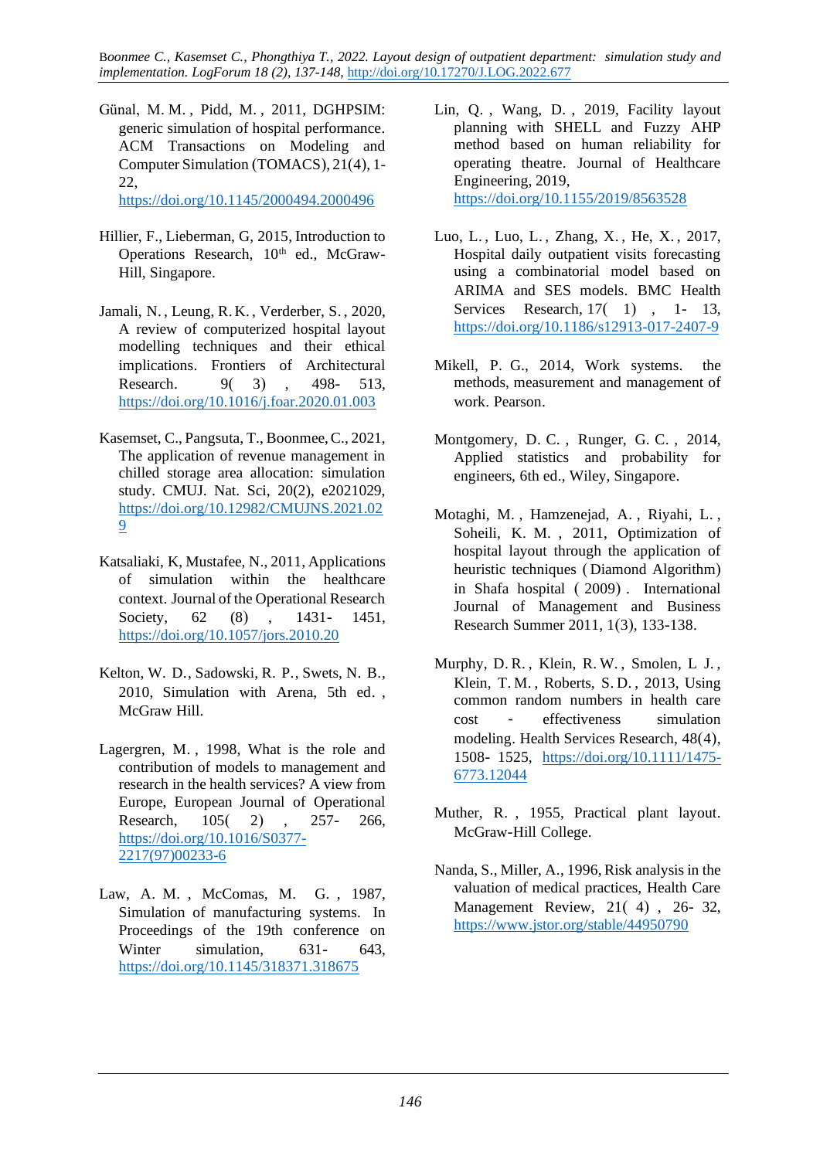- Günal, M. M. , Pidd, M. , 2011, DGHPSIM: generic simulation of hospital performance. ACM Transactions on Modeling and Computer Simulation (TOMACS), 21(4), 1- 22, <https://doi.org/10.1145/2000494.2000496>
- Hillier, F., Lieberman, G, 2015, Introduction to Operations Research, 10<sup>th</sup> ed., McGraw-Hill, Singapore.
- Jamali, N. , Leung, R. K. , Verderber, S. , 2020, A review of computerized hospital layout modelling techniques and their ethical implications. Frontiers of Architectural Research. 9(3), 498- 513, <https://doi.org/10.1016/j.foar.2020.01.003>
- Kasemset, C., Pangsuta, T., Boonmee, C., 2021, The application of revenue management in chilled storage area allocation: simulation study. CMUJ. Nat. Sci, 20(2), e2021029, [https://doi.org/10.12982/CMUJNS.2021.02](https://doi.org/10.12982/CMUJNS.2021.029) [9](https://doi.org/10.12982/CMUJNS.2021.029)
- Katsaliaki, K, Mustafee, N., 2011, Applications of simulation within the healthcare context. Journal of the Operational Research Society, 62 (8), 1431- 1451, <https://doi.org/10.1057/jors.2010.20>
- Kelton, W. D., Sadowski, R. P., Swets, N. B., 2010, Simulation with Arena, 5th ed. , McGraw Hill.
- Lagergren, M. , 1998, What is the role and contribution of models to management and research in the health services? A view from Europe, European Journal of Operational Research, 105( 2) , 257- 266, [https://doi.org/10.1016/S0377-](https://doi.org/10.1016/S0377-2217(97)00233-6) [2217\(97\)00233-6](https://doi.org/10.1016/S0377-2217(97)00233-6)
- Law, A. M. , McComas, M. G. , 1987, Simulation of manufacturing systems. In Proceedings of the 19th conference on Winter simulation, 631- 643, <https://doi.org/10.1145/318371.318675>
- Lin, Q. , Wang, D. , 2019, Facility layout planning with SHELL and Fuzzy AHP method based on human reliability for operating theatre. Journal of Healthcare Engineering, 2019, <https://doi.org/10.1155/2019/8563528>
- Luo, L. , Luo, L. , Zhang, X. , He, X. , 2017, Hospital daily outpatient visits forecasting using a combinatorial model based on ARIMA and SES models. BMC Health Services Research, 17(1) , 1-13, <https://doi.org/10.1186/s12913-017-2407-9>
- Mikell, P. G., 2014, Work systems. the methods, measurement and management of work. Pearson.
- Montgomery, D. C. , Runger, G. C. , 2014, Applied statistics and probability for engineers, 6th ed., Wiley, Singapore.
- Motaghi, M. , Hamzenejad, A. , Riyahi, L. , Soheili, K. M. , 2011, Optimization of hospital layout through the application of heuristic techniques ( Diamond Algorithm) in Shafa hospital ( 2009) . International Journal of Management and Business Research Summer 2011, 1(3), 133-138.
- Murphy, D. R. , Klein, R. W. , Smolen, L J. , Klein, T. M. , Roberts, S. D. , 2013, Using common random numbers in health care cost ‐ effectiveness simulation modeling. Health Services Research, 48(4), 1508- 1525, [https://doi.org/10.1111/1475-](https://doi.org/10.1111/1475-6773.12044) [6773.12044](https://doi.org/10.1111/1475-6773.12044)
- Muther, R. , 1955, Practical plant layout. McGraw-Hill College.
- Nanda, S., Miller, A., 1996, Risk analysis in the valuation of medical practices, Health Care Management Review, 21( 4) , 26- 32, <https://www.jstor.org/stable/44950790>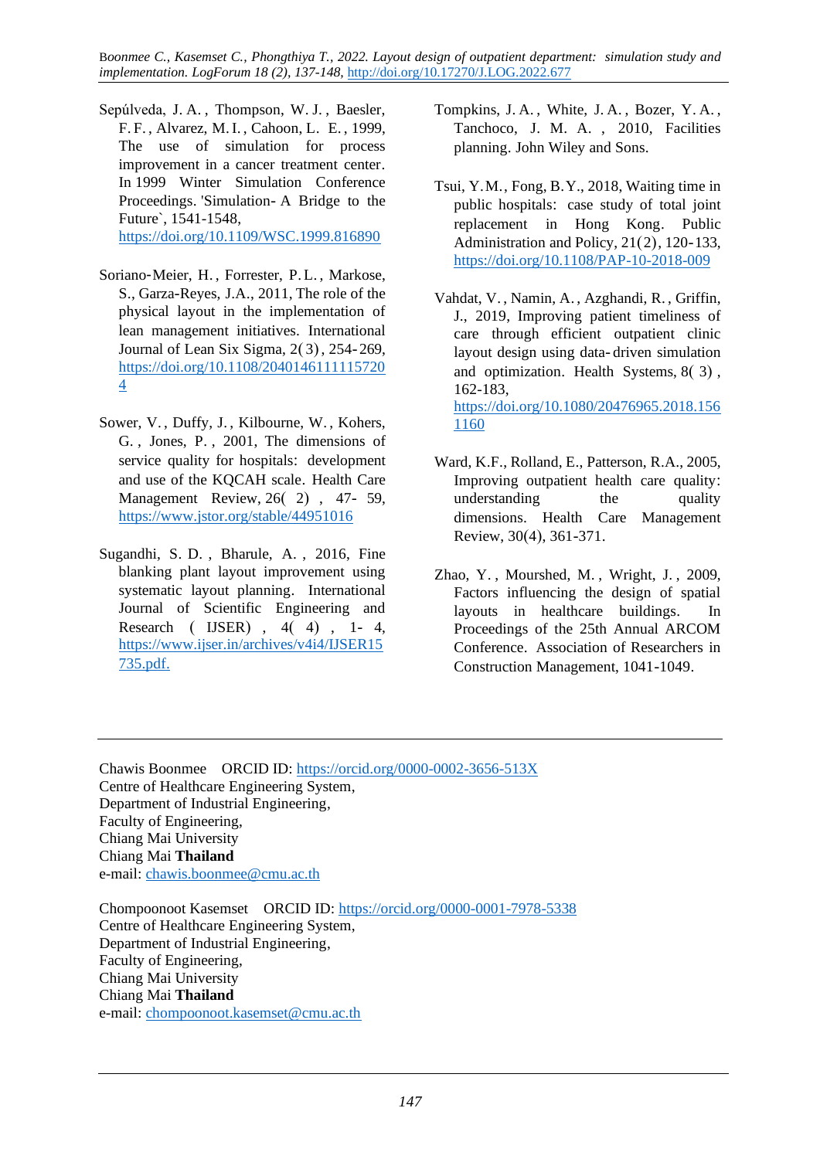- Sepúlveda, J. A. , Thompson, W. J. , Baesler, F. F. , Alvarez, M.I. , Cahoon, L. E. , 1999, The use of simulation for process improvement in a cancer treatment center. In 1999 Winter Simulation Conference Proceedings. 'Simulation- A Bridge to the Future`, 1541-1548, <https://doi.org/10.1109/WSC.1999.816890>
- Soriano‐Meier, H. , Forrester, P.L. , Markose, S., Garza-Reyes, J.A., 2011, The role of the physical layout in the implementation of lean management initiatives. International Journal of Lean Six Sigma, 2( 3), 254- 269, [https://doi.org/10.1108/2040146111115720](https://doi.org/10.1108/20401461111157204) [4](https://doi.org/10.1108/20401461111157204)
- Sower, V. , Duffy, J. , Kilbourne, W. , Kohers, G. , Jones, P. , 2001, The dimensions of service quality for hospitals: development and use of the KQCAH scale. Health Care Management Review, 26( 2) , 47- 59, <https://www.jstor.org/stable/44951016>
- Sugandhi, S. D. , Bharule, A. , 2016, Fine blanking plant layout improvement using systematic layout planning. International Journal of Scientific Engineering and Research ( IJSER) , 4( 4) , 1- 4, [https://www.ijser.in/archives/v4i4/IJSER15](https://www.ijser.in/archives/v4i4/IJSER15735.pdf.) [735.pdf](https://www.ijser.in/archives/v4i4/IJSER15735.pdf.).
- Tompkins, J. A. , White, J. A. , Bozer, Y. A. , Tanchoco, J. M. A. , 2010, Facilities planning. John Wiley and Sons.
- Tsui, Y.M., Fong, B.Y., 2018, Waiting time in public hospitals: case study of total joint replacement in Hong Kong. Public Administration and Policy, 21(2), 120-133, <https://doi.org/10.1108/PAP-10-2018-009>
- Vahdat, V. , Namin, A. , Azghandi, R. , Griffin, J., 2019, Improving patient timeliness of care through efficient outpatient clinic layout design using data- driven simulation and optimization. Health Systems, 8( 3) , 162-183, [https://doi.org/10.1080/20476965.2018.156](https://doi.org/10.1080/20476965.2018.1561160) [1160](https://doi.org/10.1080/20476965.2018.1561160)
- Ward, K.F., Rolland, E., Patterson, R.A., 2005, Improving outpatient health care quality: understanding the quality dimensions. Health Care Management Review, 30(4), 361-371.
- Zhao, Y. , Mourshed, M. , Wright, J. , 2009, Factors influencing the design of spatial layouts in healthcare buildings. In Proceedings of the 25th Annual ARCOM Conference. Association of Researchers in Construction Management, 1041-1049.

Chawis Boonmee ORCID ID: https://orcid.org[/0000-0002-3656-513X](https://orcid.org/0000-0002-3656-513X) Centre of Healthcare Engineering System, Department of Industrial Engineering, Faculty of Engineering, Chiang Mai University Chiang Mai **Thailand** e-mail: [chawis.boonmee@cmu.ac.th](mailto:chawis.boonmee@cmu.ac.th)

Chompoonoot Kasemset ORCID ID: https://orcid.org[/0000-0001-7978-5338](https://orcid.org/0000-0001-7978-5338) Centre of Healthcare Engineering System, Department of Industrial Engineering, Faculty of Engineering, Chiang Mai University Chiang Mai **Thailand** e-mail: [chompoonoot.kasemset@cmu.ac.th](mailto:chompoonoot.kasemset@cmu.ac.th)